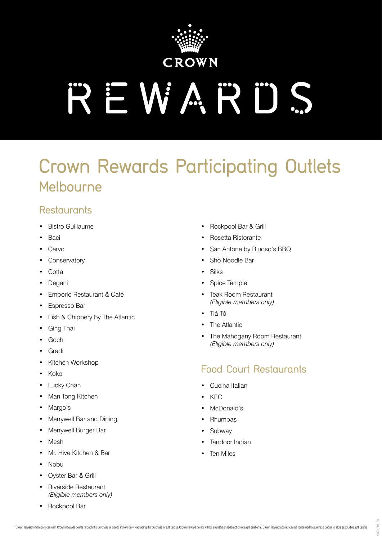

# REWARDS

# Crown Rewards Participating Outlets Melbourne

#### **Restaurants**

- Bistro Guillaume
- Baci
- **Cervo**
- **Conservatory**
- Cotta
- Degani
- Emporio Restaurant & Café
- Espresso Bar
- Fish & Chippery by The Atlantic
- Ging Thai
- Gochi
- Gradi
- Kitchen Workshop
- Koko
- **Lucky Chan**
- Man Tong Kitchen
- Margo's
- Merrywell Bar and Dining
- Merrywell Burger Bar
- Mesh
- Mr. Hive Kitchen & Bar
- Nobu
- Oyster Bar & Grill
- Riverside Restaurant *(Eligible members only)*
- Rockpool Bar
- Rockpool Bar & Grill
- Rosetta Ristorante
- San Antone by Bludso's BBQ
- Shò Noodle Bar
- Silks
- Spice Temple
- Teak Room Restaurant *(Eligible members only)*
- Tiá Tó
- **The Atlantic**
- The Mahogany Room Restaurant *(Eligible members only)*

## Food Court Restaurants

- Cucina Italian
- KFC
- McDonald's
- Rhumbas
- **Subway**
- Tandoor Indian
- Ten Miles

CR20\_307150  $R20$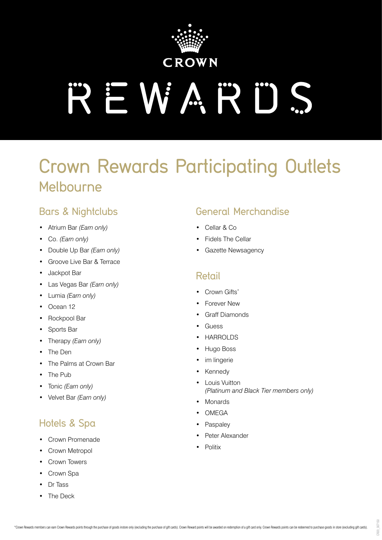

# **REWARDS**

# Crown Rewards Participating Outlets Melbourne

### Bars & Nightclubs

- Atrium Bar *(Earn only)*
- Co. *(Earn only)*
- Double Up Bar *(Earn only)*
- Groove Live Bar & Terrace
- Jackpot Bar
- Las Vegas Bar *(Earn only)*
- Lumia *(Earn only)*
- Ocean 12
- Rockpool Bar
- Sports Bar
- Therapy *(Earn only)*
- The Den
- The Palms at Crown Bar
- The Pub
- Tonic *(Earn only)*
- Velvet Bar *(Earn only)*

## Hotels & Spa

- Crown Promenade
- Crown Metropol
- Crown Towers
- Crown Spa
- Dr Tass
- The Deck

### General Merchandise

- Cellar & Co
- **Fidels The Cellar**
- Gazette Newsagency

#### Retail

- Crown Gifts\*
- **Forever New**
- Graff Diamonds
- **Guess**
- **HARROLDS**
- Hugo Boss
- im lingerie
- **Kennedy**
- **Louis Vuitton** *(Platinum and Black Tier members only)*
- **Monards**
- **OMEGA**
- **Paspaley**
- Peter Alexander
- **Politix**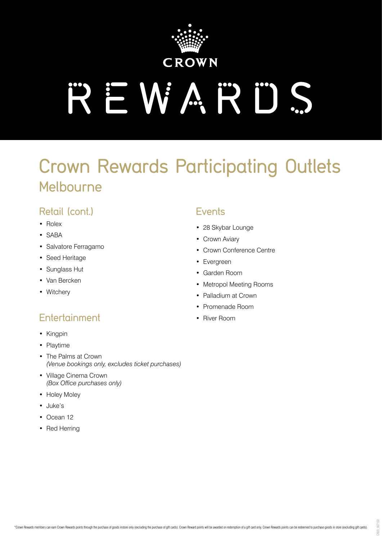

# **AEWARDS**

# Crown Rewards Participating Outlets Melbourne

#### Retail (cont.)

- Rolex
- SABA
- Salvatore Ferragamo
- Seed Heritage
- Sunglass Hut
- Van Bercken
- Witchery

## Entertainment

- Kingpin
- Playtime
- The Palms at Crown *(Venue bookings only, excludes ticket purchases)*
- Village Cinema Crown *(Box Office purchases only)*
- Holey Moley
- Juke's
- Ocean 12
- Red Herring

#### **Events**

- 28 Skybar Lounge
- Crown Aviary
- Crown Conference Centre
- Evergreen
- Garden Room
- Metropol Meeting Rooms
- Palladium at Crown
- Promenade Room
- River Room